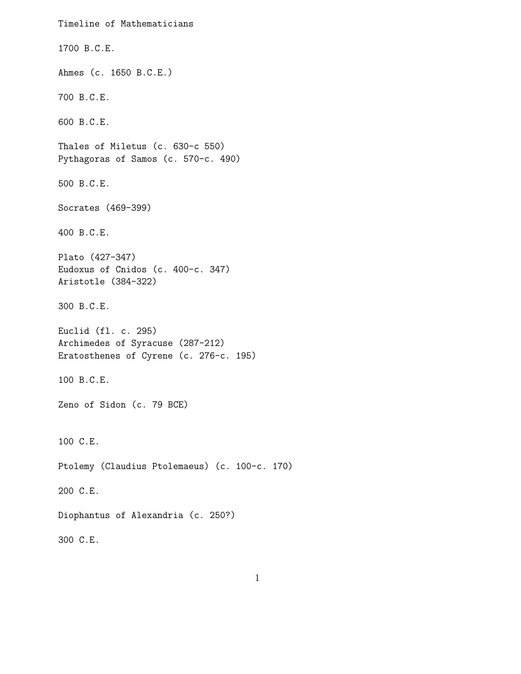Timeline of Mathematicians 1700 B.C.E. Ahmes (c. 1650 B.C.E.) 700 B.C.E. 600 B.C.E. Thales of Miletus (c. 630-c 550) Pythagoras of Samos (c. 570-c. 490) 500 B.C.E. Socrates (469-399) 400 B.C.E. Plato (427-347) Eudoxus of Cnidos (c. 400-c. 347) Aristotle (384-322) 300 B.C.E. Euclid (fl. c. 295) Archimedes of Syracuse (287-212) Eratosthenes of Cyrene (c. 276-c. 195) 100 B.C.E. Zeno of Sidon (c. 79 BCE) 100 C.E. Ptolemy (Claudius Ptolemaeus) (c. 100-c. 170) 200 C.E. Diophantus of Alexandria (c. 250?) 300 C.E.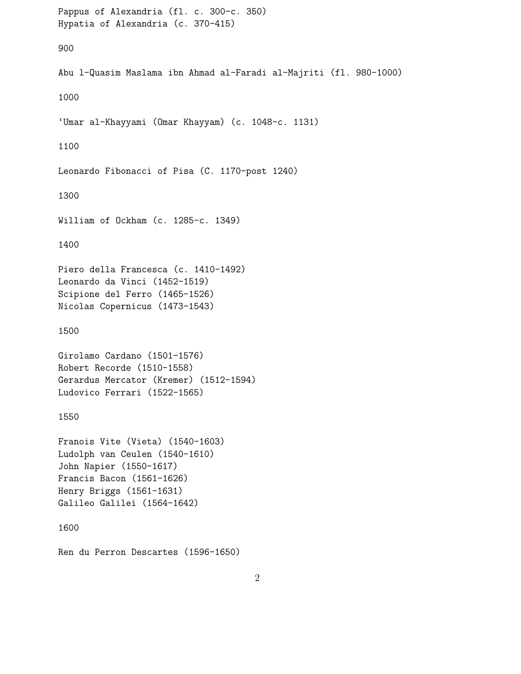```
Pappus of Alexandria (fl. c. 300-c. 350)
Hypatia of Alexandria (c. 370-415)
900
Abu l-Quasim Maslama ibn Ahmad al-Faradi al-Majriti (fl. 980-1000)
1000
'Umar al-Khayyami (Omar Khayyam) (c. 1048-c. 1131)
1100
Leonardo Fibonacci of Pisa (C. 1170-post 1240)
1300
William of Ockham (c. 1285-c. 1349)
1400
Piero della Francesca (c. 1410-1492)
Leonardo da Vinci (1452-1519)
Scipione del Ferro (1465-1526)
Nicolas Copernicus (1473-1543)
1500
Girolamo Cardano (1501-1576)
Robert Recorde (1510-1558)
Gerardus Mercator (Kremer) (1512-1594)
Ludovico Ferrari (1522-1565)
1550
Franois Vite (Vieta) (1540-1603)
Ludolph van Ceulen (1540-1610)
John Napier (1550-1617)
Francis Bacon (1561-1626)
Henry Briggs (1561-1631)
Galileo Galilei (1564-1642)
1600
Ren du Perron Descartes (1596-1650)
```
 $\mathfrak{D}$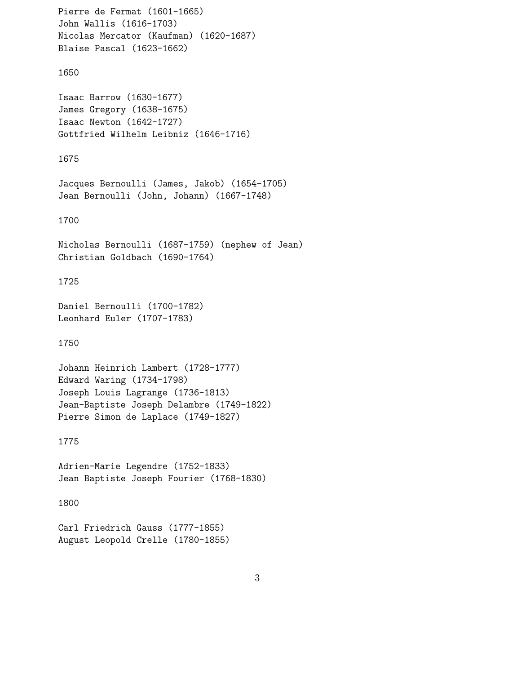```
Pierre de Fermat (1601-1665)
John Wallis (1616-1703)
Nicolas Mercator (Kaufman) (1620-1687)
Blaise Pascal (1623-1662)
1650
Isaac Barrow (1630-1677)
James Gregory (1638-1675)
Isaac Newton (1642-1727)
Gottfried Wilhelm Leibniz (1646-1716)
1675
Jacques Bernoulli (James, Jakob) (1654-1705)
Jean Bernoulli (John, Johann) (1667-1748)
1700
Nicholas Bernoulli (1687-1759) (nephew of Jean)
Christian Goldbach (1690-1764)
1725
Daniel Bernoulli (1700-1782)
Leonhard Euler (1707-1783)
1750
Johann Heinrich Lambert (1728-1777)
Edward Waring (1734-1798)
Joseph Louis Lagrange (1736-1813)
Jean-Baptiste Joseph Delambre (1749-1822)
Pierre Simon de Laplace (1749-1827)
1775
Adrien-Marie Legendre (1752-1833)
Jean Baptiste Joseph Fourier (1768-1830)
1800
Carl Friedrich Gauss (1777-1855)
August Leopold Crelle (1780-1855)
```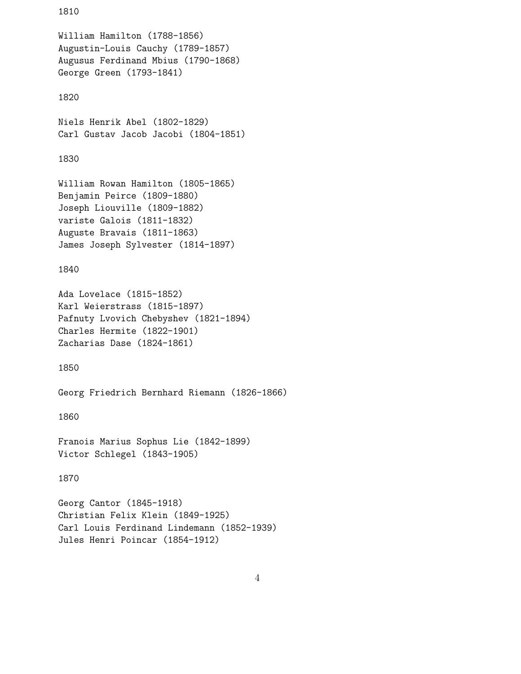```
1810
William Hamilton (1788-1856)
Augustin-Louis Cauchy (1789-1857)
Augusus Ferdinand Mbius (1790-1868)
George Green (1793-1841)
1820
Niels Henrik Abel (1802-1829)
Carl Gustav Jacob Jacobi (1804-1851)
1830
William Rowan Hamilton (1805-1865)
Benjamin Peirce (1809-1880)
Joseph Liouville (1809-1882)
variste Galois (1811-1832)
Auguste Bravais (1811-1863)
James Joseph Sylvester (1814-1897)
1840
Ada Lovelace (1815-1852)
Karl Weierstrass (1815-1897)
Pafnuty Lvovich Chebyshev (1821-1894)
Charles Hermite (1822-1901)
Zacharias Dase (1824-1861)
1850
Georg Friedrich Bernhard Riemann (1826-1866)
1860
Franois Marius Sophus Lie (1842-1899)
Victor Schlegel (1843-1905)
1870
Georg Cantor (1845-1918)
Christian Felix Klein (1849-1925)
Carl Louis Ferdinand Lindemann (1852-1939)
Jules Henri Poincar (1854-1912)
```